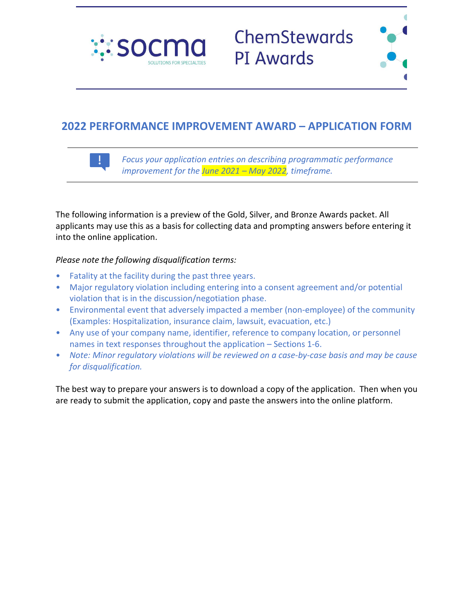



# **2022 PERFORMANCE IMPROVEMENT AWARD – APPLICATION FORM**



*Focus your application entries on describing programmatic performance improvement for the June 2021 – May 2022, timeframe.*

The following information is a preview of the Gold, Silver, and Bronze Awards packet. All applicants may use this as a basis for collecting data and prompting answers before entering it into the online application.

## *Please note the following disqualification terms:*

- Fatality at the facility during the past three years.
- Major regulatory violation including entering into a consent agreement and/or potential violation that is in the discussion/negotiation phase.
- Environmental event that adversely impacted a member (non-employee) of the community (Examples: Hospitalization, insurance claim, lawsuit, evacuation, etc.)
- Any use of your company name, identifier, reference to company location, or personnel names in text responses throughout the application – Sections 1-6.
- *Note: Minor regulatory violations will be reviewed on a case-by-case basis and may be cause for disqualification.*

The best way to prepare your answers is to download a copy of the application. Then when you are ready to submit the application, copy and paste the answers into the online platform.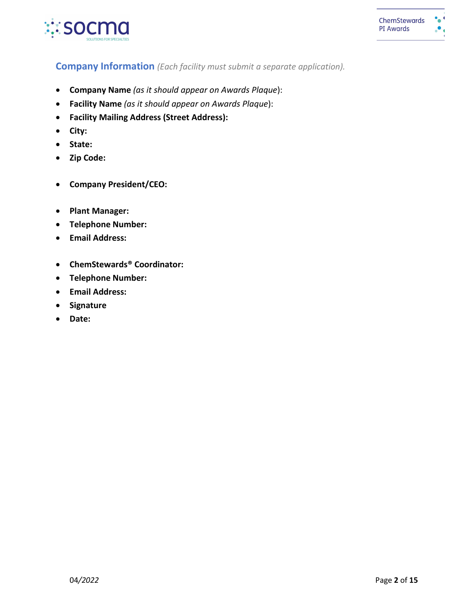

# **Company Information** *(Each facility must submit a separate application).*

- **Company Name** *(as it should appear on Awards Plaque*):
- **Facility Name** *(as it should appear on Awards Plaque*):
- **Facility Mailing Address (Street Address):**
- **City:**
- **State:**
- **Zip Code:**
- **Company President/CEO:**
- **Plant Manager:**
- **Telephone Number:**
- **Email Address:**
- **ChemStewards® Coordinator:**
- **Telephone Number:**
- **Email Address:**
- **Signature**
- **Date:**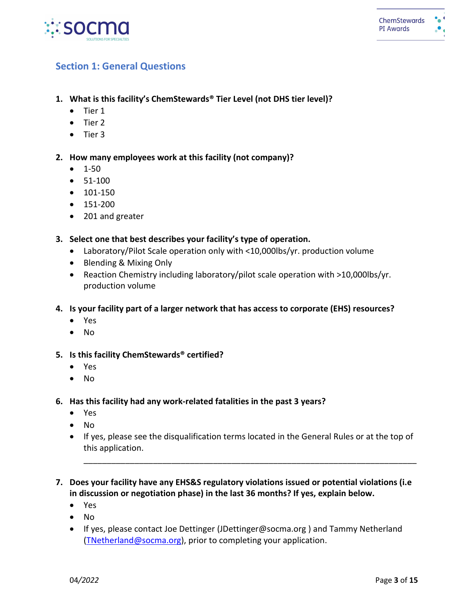

# **Section 1: General Questions**

- **1. What is this facility's ChemStewards® Tier Level (not DHS tier level)?**
	- Tier 1
	- Tier 2
	- Tier 3

**2. How many employees work at this facility (not company)?**

- 1-50
- 51-100
- 101-150
- 151-200
- 201 and greater
- **3. Select one that best describes your facility's type of operation.**
	- Laboratory/Pilot Scale operation only with <10,000lbs/yr. production volume
	- Blending & Mixing Only
	- Reaction Chemistry including laboratory/pilot scale operation with >10,000lbs/yr. production volume
- **4. Is your facility part of a larger network that has access to corporate (EHS) resources?**
	- Yes
	- No
- **5. Is this facility ChemStewards® certified?**
	- Yes
	- No
- **6. Has this facility had any work-related fatalities in the past 3 years?** 
	- Yes
	- No
	- If yes, please see the disqualification terms located in the General Rules or at the top of this application.

\_\_\_\_\_\_\_\_\_\_\_\_\_\_\_\_\_\_\_\_\_\_\_\_\_\_\_\_\_\_\_\_\_\_\_\_\_\_\_\_\_\_\_\_\_\_\_\_\_\_\_\_\_\_\_\_\_\_\_\_\_\_\_\_\_\_\_\_\_\_\_\_

- **7. Does your facility have any EHS&S regulatory violations issued or potential violations (i.e in discussion or negotiation phase) in the last 36 months? If yes, explain below.** 
	- Yes
	- No
	- If yes, please contact Joe Dettinger (JDettinger@socma.org ) and Tammy Netherland [\(TNetherland@socma.org\)](mailto:TNetherland@socma.org), prior to completing your application.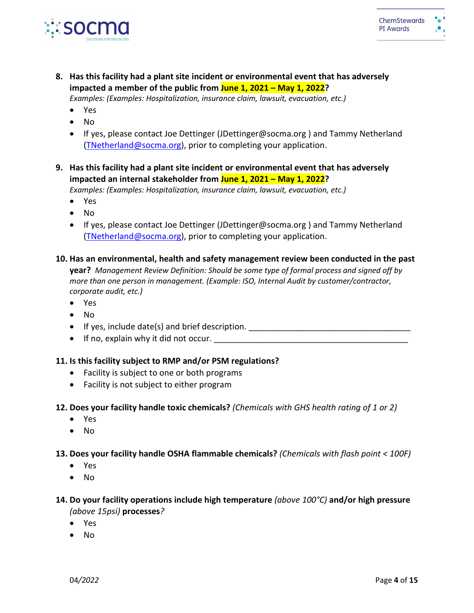

**8. Has this facility had a plant site incident or environmental event that has adversely impacted a member of the public from June 1, 2021 – May 1, 2022?** 

*Examples: (Examples: Hospitalization, insurance claim, lawsuit, evacuation, etc.)*

- Yes
- No
- If yes, please contact Joe Dettinger (JDettinger@socma.org ) and Tammy Netherland [\(TNetherland@socma.org\)](mailto:TNetherland@socma.org), prior to completing your application.
- **9. Has this facility had a plant site incident or environmental event that has adversely impacted an internal stakeholder from June 1, 2021 – May 1, 2022?**

*Examples: (Examples: Hospitalization, insurance claim, lawsuit, evacuation, etc.)*

• Yes

- No
- If yes, please contact Joe Dettinger (JDettinger@socma.org ) and Tammy Netherland [\(TNetherland@socma.org\)](mailto:TNetherland@socma.org), prior to completing your application.

## **10. Has an environmental, health and safety management review been conducted in the past**

**year?** *Management Review Definition: Should be some type of formal process and signed off by more than one person in management. (Example: ISO, Internal Audit by customer/contractor, corporate audit, etc.)*

- Yes
- No
- If yes, include date(s) and brief description.  $\Box$
- If no, explain why it did not occur.

## **11. Is this facility subject to RMP and/or PSM regulations?**

- Facility is subject to one or both programs
- Facility is not subject to either program
- **12. Does your facility handle toxic chemicals?** *(Chemicals with GHS health rating of 1 or 2)*
	- Yes
	- No
- **13. Does your facility handle OSHA flammable chemicals?** *(Chemicals with flash point < 100F)*
	- Yes
	- No

## **14. Do your facility operations include high temperature** *(above 100°C)* **and/or high pressure**  *(above 15psi)* **processes***?*

- Yes
- No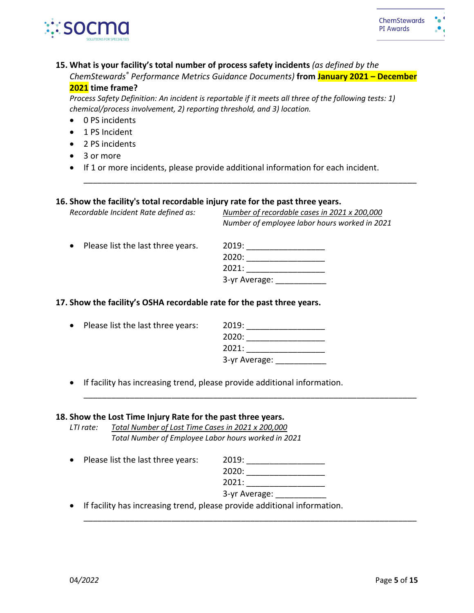

## **15. What is your facility's total number of process safety incidents** *(as defined by the*

*ChemStewards® Performance Metrics Guidance Documents)* **from January 2021 – December 2021 time frame?**

\_\_\_\_\_\_\_\_\_\_\_\_\_\_\_\_\_\_\_\_\_\_\_\_\_\_\_\_\_\_\_\_\_\_\_\_\_\_\_\_\_\_\_\_\_\_\_\_\_\_\_\_\_\_\_\_\_\_\_\_\_\_\_\_\_\_\_\_\_\_\_\_

*Process Safety Definition: An incident is reportable if it meets all three of the following tests: 1) chemical/process involvement, 2) reporting threshold, and 3) location.*

- 0 PS incidents
- 1 PS Incident
- 2 PS incidents
- 3 or more
- If 1 or more incidents, please provide additional information for each incident.

#### **16. Show the facility's total recordable injury rate for the past three years.**

*Recordable Incident Rate defined as: Number of recordable cases in 2021 x 200,000 Number of employee labor hours worked in 2021*

| • Please list the last three years. | 2019:         |
|-------------------------------------|---------------|
|                                     | 2020:         |
|                                     | 2021:         |
|                                     | 3-yr Average: |

## **17. Show the facility's OSHA recordable rate for the past three years.**

| $\bullet$ | Please list the last three years: | 2019:         |
|-----------|-----------------------------------|---------------|
|           |                                   | 2020:         |
|           |                                   | 2021:         |
|           |                                   | 3-yr Average: |

• If facility has increasing trend, please provide additional information.

#### **18. Show the Lost Time Injury Rate for the past three years.**

*LTI rate: Total Number of Lost Time Cases in 2021 x 200,000 Total Number of Employee Labor hours worked in 2021*

• Please list the last three years:

| 2019: |  |  |
|-------|--|--|
| 2020: |  |  |

2021: \_\_\_\_\_\_\_\_\_\_\_\_\_\_\_\_\_

| 3-yr Average: |  |
|---------------|--|
|               |  |

\_\_\_\_\_\_\_\_\_\_\_\_\_\_\_\_\_\_\_\_\_\_\_\_\_\_\_\_\_\_\_\_\_\_\_\_\_\_\_\_\_\_\_\_\_\_\_\_\_\_\_\_\_\_\_\_\_\_\_\_\_\_\_\_\_\_\_\_\_\_\_\_

\_\_\_\_\_\_\_\_\_\_\_\_\_\_\_\_\_\_\_\_\_\_\_\_\_\_\_\_\_\_\_\_\_\_\_\_\_\_\_\_\_\_\_\_\_\_\_\_\_\_\_\_\_\_\_\_\_\_\_\_\_\_\_\_\_\_\_\_\_\_\_\_

• If facility has increasing trend, please provide additional information.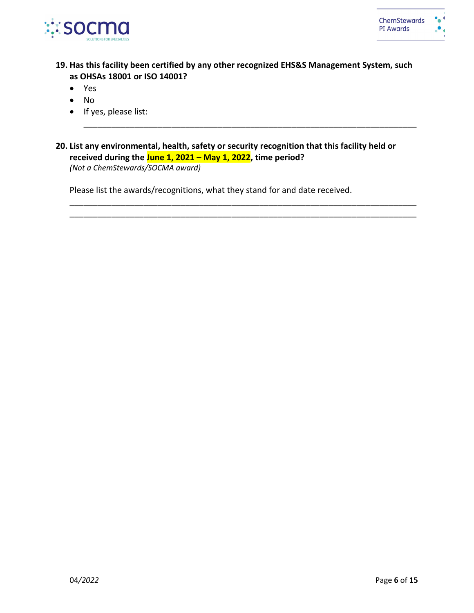

**19. Has this facility been certified by any other recognized EHS&S Management System, such as OHSAs 18001 or ISO 14001?** 

\_\_\_\_\_\_\_\_\_\_\_\_\_\_\_\_\_\_\_\_\_\_\_\_\_\_\_\_\_\_\_\_\_\_\_\_\_\_\_\_\_\_\_\_\_\_\_\_\_\_\_\_\_\_\_\_\_\_\_\_\_\_\_\_\_\_\_\_\_\_\_\_

\_\_\_\_\_\_\_\_\_\_\_\_\_\_\_\_\_\_\_\_\_\_\_\_\_\_\_\_\_\_\_\_\_\_\_\_\_\_\_\_\_\_\_\_\_\_\_\_\_\_\_\_\_\_\_\_\_\_\_\_\_\_\_\_\_\_\_\_\_\_\_\_\_\_\_ \_\_\_\_\_\_\_\_\_\_\_\_\_\_\_\_\_\_\_\_\_\_\_\_\_\_\_\_\_\_\_\_\_\_\_\_\_\_\_\_\_\_\_\_\_\_\_\_\_\_\_\_\_\_\_\_\_\_\_\_\_\_\_\_\_\_\_\_\_\_\_\_\_\_\_

- Yes
- No
- If yes, please list:
- **20. List any environmental, health, safety or security recognition that this facility held or received during the June 1, 2021 – May 1, 2022, time period?**  *(Not a ChemStewards/SOCMA award)*

Please list the awards/recognitions, what they stand for and date received.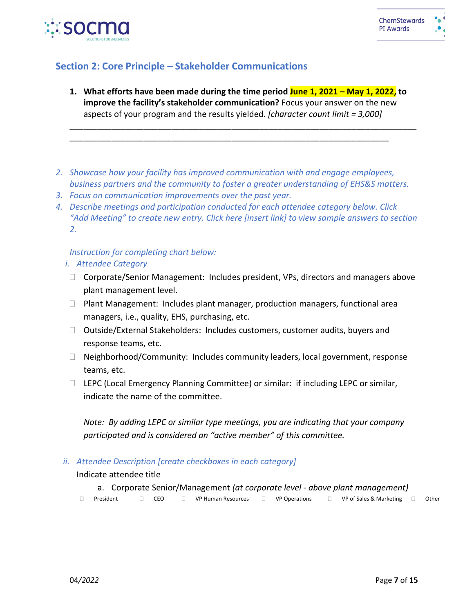

# **Section 2: Core Principle – Stakeholder Communications**

**1. What efforts have been made during the time period June 1, 2021 – May 1, 2022, to improve the facility's stakeholder communication?** Focus your answer on the new aspects of your program and the results yielded. *[character count limit = 3,000]*

\_\_\_\_\_\_\_\_\_\_\_\_\_\_\_\_\_\_\_\_\_\_\_\_\_\_\_\_\_\_\_\_\_\_\_\_\_\_\_\_\_\_\_\_\_\_\_\_\_\_\_\_\_\_\_\_\_\_\_\_\_\_\_\_\_\_\_\_\_\_\_\_\_\_\_

*2. Showcase how your facility has improved communication with and engage employees, business partners and the community to foster a greater understanding of EHS&S matters.*

\_\_\_\_\_\_\_\_\_\_\_\_\_\_\_\_\_\_\_\_\_\_\_\_\_\_\_\_\_\_\_\_\_\_\_\_\_\_\_\_\_\_\_\_\_\_\_\_\_\_\_\_\_\_\_\_\_\_\_\_\_\_\_\_\_\_\_\_\_

- *3. Focus on communication improvements over the past year.*
- *4. Describe meetings and participation conducted for each attendee category below. Click "Add Meeting" to create new entry. Click here [insert link] to view sample answers to section 2.*

## *Instruction for completing chart below:*

## *i. Attendee Category*

- □ Corporate/Senior Management: Includes president, VPs, directors and managers above plant management level.
- Plant Management: Includes plant manager, production managers, functional area managers, i.e., quality, EHS, purchasing, etc.
- $\Box$  Outside/External Stakeholders: Includes customers, customer audits, buyers and response teams, etc.
- □ Neighborhood/Community: Includes community leaders, local government, response teams, etc.
- □ LEPC (Local Emergency Planning Committee) or similar: if including LEPC or similar, indicate the name of the committee.

*Note: By adding LEPC or similar type meetings, you are indicating that your company participated and is considered an "active member" of this committee.*

*ii. Attendee Description [create checkboxes in each category]*

## Indicate attendee title

a. Corporate Senior/Management *(at corporate level - above plant management)*

President 
□ CEO □ VP Human Resources □ VP Operations □ VP of Sales & Marketing □ Other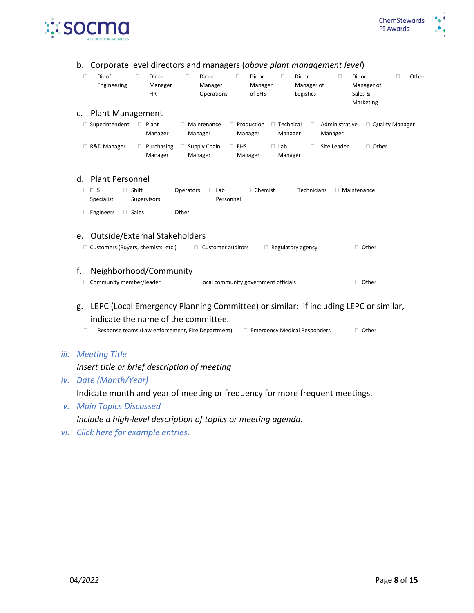

| b.<br>□ | Corporate level directors and managers (above plant management level)<br>Dir of<br>Engineering | 0            | Dir or<br>Manager<br>HR      | $\Box$           | Dir or<br>Manager<br>Operations      |           | $\Box$     | Dir or<br>Manager<br>of EHS         | $\Box$                      | Dir or<br>Manager of<br>Logistics |    | n                         | Dir or<br>Manager of<br>Sales &<br>Marketing | □ | Other |
|---------|------------------------------------------------------------------------------------------------|--------------|------------------------------|------------------|--------------------------------------|-----------|------------|-------------------------------------|-----------------------------|-----------------------------------|----|---------------------------|----------------------------------------------|---|-------|
| c.      | <b>Plant Management</b>                                                                        |              |                              |                  |                                      |           |            |                                     |                             |                                   |    |                           |                                              |   |       |
|         | □ Superintendent                                                                               |              | $\Box$ Plant<br>Manager      |                  | $\Box$ Maintenance<br>Manager        |           |            | $\Box$ Production<br>Manager        | $\Box$ Technical<br>Manager |                                   | Ω. | Administrative<br>Manager | $\Box$ Quality Manager                       |   |       |
|         | R&D Manager                                                                                    |              | $\Box$ Purchasing<br>Manager |                  | $\Box$ Supply Chain<br>Manager       |           | $\Box$ EHS | Manager                             | $\Box$ Lab<br>Manager       |                                   | П. | Site Leader               | $\Box$ Other                                 |   |       |
|         | d. Plant Personnel                                                                             |              |                              |                  |                                      |           |            |                                     |                             |                                   |    |                           |                                              |   |       |
|         | $\Box$ EHS<br>Specialist                                                                       | $\Box$ Shift | Supervisors                  | $\Box$ Operators | $\Box$ Lab                           | Personnel |            | □ Chemist                           | 0                           | Technicians                       |    |                           | □ Maintenance                                |   |       |
|         | $\Box$ Engineers                                                                               | $\Box$ Sales |                              | □ Other          |                                      |           |            |                                     |                             |                                   |    |                           |                                              |   |       |
|         |                                                                                                |              |                              |                  |                                      |           |            |                                     |                             |                                   |    |                           |                                              |   |       |
| e.      | Outside/External Stakeholders                                                                  |              |                              |                  |                                      |           |            |                                     |                             |                                   |    |                           |                                              |   |       |
|         | $\Box$ Customers (Buyers, chemists, etc.)                                                      |              |                              |                  | $\Box$ Customer auditors             |           |            |                                     | $\Box$ Regulatory agency    |                                   |    |                           | $\Box$ Other                                 |   |       |
| f.      | Neighborhood/Community                                                                         |              |                              |                  |                                      |           |            |                                     |                             |                                   |    |                           |                                              |   |       |
|         | □ Community member/leader                                                                      |              |                              |                  | Local community government officials |           |            |                                     |                             |                                   |    |                           | $\Box$ Other                                 |   |       |
|         |                                                                                                |              |                              |                  |                                      |           |            |                                     |                             |                                   |    |                           |                                              |   |       |
| g.      | LEPC (Local Emergency Planning Committee) or similar: if including LEPC or similar,            |              |                              |                  |                                      |           |            |                                     |                             |                                   |    |                           |                                              |   |       |
|         | indicate the name of the committee.                                                            |              |                              |                  |                                      |           |            |                                     |                             |                                   |    |                           |                                              |   |       |
| $\Box$  | Response teams (Law enforcement, Fire Department)                                              |              |                              |                  |                                      |           |            | $\Box$ Emergency Medical Responders |                             |                                   |    |                           | $\Box$ Other                                 |   |       |
|         | <b>Meeting Title</b>                                                                           |              |                              |                  |                                      |           |            |                                     |                             |                                   |    |                           |                                              |   |       |
|         | Insert title or brief description of meeting                                                   |              |                              |                  |                                      |           |            |                                     |                             |                                   |    |                           |                                              |   |       |
|         | Date (Month/Year)                                                                              |              |                              |                  |                                      |           |            |                                     |                             |                                   |    |                           |                                              |   |       |
|         | Indicate month and year of meeting or frequency for more frequent meetings.                    |              |                              |                  |                                      |           |            |                                     |                             |                                   |    |                           |                                              |   |       |
|         | v. Main Topics Discussed                                                                       |              |                              |                  |                                      |           |            |                                     |                             |                                   |    |                           |                                              |   |       |

*Include a high-level description of topics or meeting agenda.*

*vi. Click here for example entries.*

*iii. Meeting Title*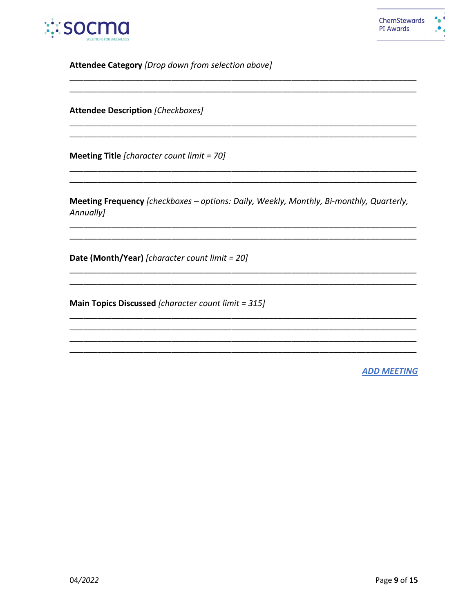

Attendee Category [Drop down from selection above]

**Attendee Description [Checkboxes]** 

Meeting Title [character count limit = 70]

Meeting Frequency [checkboxes - options: Daily, Weekly, Monthly, Bi-monthly, Quarterly, Annually]

Date (Month/Year) [character count limit = 20]

Main Topics Discussed [character count limit = 315]

**ADD MEETING**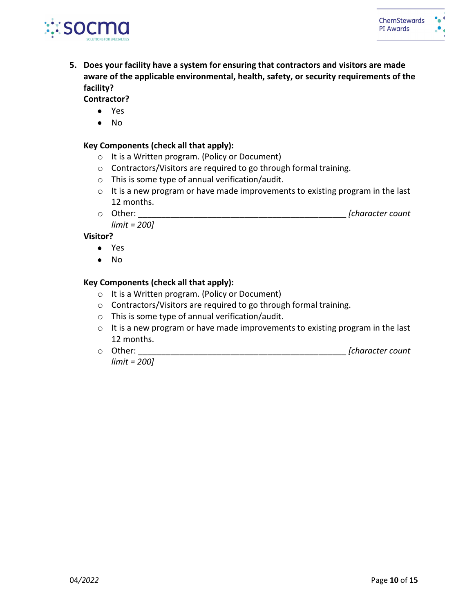

**5. Does your facility have a system for ensuring that contractors and visitors are made aware of the applicable environmental, health, safety, or security requirements of the facility?** 

**Contractor?** 

- Yes
- No

## **Key Components (check all that apply):**

- o It is a Written program. (Policy or Document)
- o Contractors/Visitors are required to go through formal training.
- o This is some type of annual verification/audit.
- o It is a new program or have made improvements to existing program in the last 12 months.
- o Other: \_\_\_\_\_\_\_\_\_\_\_\_\_\_\_\_\_\_\_\_\_\_\_\_\_\_\_\_\_\_\_\_\_\_\_\_\_\_\_\_\_\_\_\_\_ *[character count limit = 200]*

**Visitor?** 

- Yes
- No

## **Key Components (check all that apply):**

- o It is a Written program. (Policy or Document)
- o Contractors/Visitors are required to go through formal training.
- o This is some type of annual verification/audit.
- o It is a new program or have made improvements to existing program in the last 12 months.
- o Other: \_\_\_\_\_\_\_\_\_\_\_\_\_\_\_\_\_\_\_\_\_\_\_\_\_\_\_\_\_\_\_\_\_\_\_\_\_\_\_\_\_\_\_\_\_ *[character count*

*limit = 200]*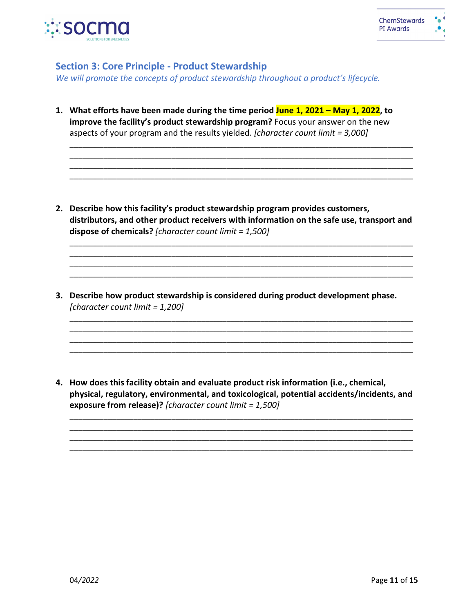

## **Section 3: Core Principle - Product Stewardship**

*We will promote the concepts of product stewardship throughout a product's lifecycle.* 

**1. What efforts have been made during the time period June 1, 2021 – May 1, 2022, to improve the facility's product stewardship program?** Focus your answer on the new aspects of your program and the results yielded. *[character count limit = 3,000]*

\_\_\_\_\_\_\_\_\_\_\_\_\_\_\_\_\_\_\_\_\_\_\_\_\_\_\_\_\_\_\_\_\_\_\_\_\_\_\_\_\_\_\_\_\_\_\_\_\_\_\_\_\_\_\_\_\_\_\_\_\_\_\_\_\_\_\_\_\_\_\_\_\_\_\_\_\_\_\_\_\_ \_\_\_\_\_\_\_\_\_\_\_\_\_\_\_\_\_\_\_\_\_\_\_\_\_\_\_\_\_\_\_\_\_\_\_\_\_\_\_\_\_\_\_\_\_\_\_\_\_\_\_\_\_\_\_\_\_\_\_\_\_\_\_\_\_\_\_\_\_\_\_\_\_\_\_\_\_\_\_\_\_ \_\_\_\_\_\_\_\_\_\_\_\_\_\_\_\_\_\_\_\_\_\_\_\_\_\_\_\_\_\_\_\_\_\_\_\_\_\_\_\_\_\_\_\_\_\_\_\_\_\_\_\_\_\_\_\_\_\_\_\_\_\_\_\_\_\_\_\_\_\_\_\_\_\_\_\_\_\_\_\_\_ \_\_\_\_\_\_\_\_\_\_\_\_\_\_\_\_\_\_\_\_\_\_\_\_\_\_\_\_\_\_\_\_\_\_\_\_\_\_\_\_\_\_\_\_\_\_\_\_\_\_\_\_\_\_\_\_\_\_\_\_\_\_\_\_\_\_\_\_\_\_\_\_\_\_\_\_\_\_\_\_\_

**2. Describe how this facility's product stewardship program provides customers, distributors, and other product receivers with information on the safe use, transport and dispose of chemicals?** *[character count limit = 1,500]*

\_\_\_\_\_\_\_\_\_\_\_\_\_\_\_\_\_\_\_\_\_\_\_\_\_\_\_\_\_\_\_\_\_\_\_\_\_\_\_\_\_\_\_\_\_\_\_\_\_\_\_\_\_\_\_\_\_\_\_\_\_\_\_\_\_\_\_\_\_\_\_\_\_\_\_\_\_\_\_\_\_ \_\_\_\_\_\_\_\_\_\_\_\_\_\_\_\_\_\_\_\_\_\_\_\_\_\_\_\_\_\_\_\_\_\_\_\_\_\_\_\_\_\_\_\_\_\_\_\_\_\_\_\_\_\_\_\_\_\_\_\_\_\_\_\_\_\_\_\_\_\_\_\_\_\_\_\_\_\_\_\_\_ \_\_\_\_\_\_\_\_\_\_\_\_\_\_\_\_\_\_\_\_\_\_\_\_\_\_\_\_\_\_\_\_\_\_\_\_\_\_\_\_\_\_\_\_\_\_\_\_\_\_\_\_\_\_\_\_\_\_\_\_\_\_\_\_\_\_\_\_\_\_\_\_\_\_\_\_\_\_\_\_\_ \_\_\_\_\_\_\_\_\_\_\_\_\_\_\_\_\_\_\_\_\_\_\_\_\_\_\_\_\_\_\_\_\_\_\_\_\_\_\_\_\_\_\_\_\_\_\_\_\_\_\_\_\_\_\_\_\_\_\_\_\_\_\_\_\_\_\_\_\_\_\_\_\_\_\_\_\_\_\_\_\_

\_\_\_\_\_\_\_\_\_\_\_\_\_\_\_\_\_\_\_\_\_\_\_\_\_\_\_\_\_\_\_\_\_\_\_\_\_\_\_\_\_\_\_\_\_\_\_\_\_\_\_\_\_\_\_\_\_\_\_\_\_\_\_\_\_\_\_\_\_\_\_\_\_\_\_\_\_\_\_\_\_ \_\_\_\_\_\_\_\_\_\_\_\_\_\_\_\_\_\_\_\_\_\_\_\_\_\_\_\_\_\_\_\_\_\_\_\_\_\_\_\_\_\_\_\_\_\_\_\_\_\_\_\_\_\_\_\_\_\_\_\_\_\_\_\_\_\_\_\_\_\_\_\_\_\_\_\_\_\_\_\_\_ \_\_\_\_\_\_\_\_\_\_\_\_\_\_\_\_\_\_\_\_\_\_\_\_\_\_\_\_\_\_\_\_\_\_\_\_\_\_\_\_\_\_\_\_\_\_\_\_\_\_\_\_\_\_\_\_\_\_\_\_\_\_\_\_\_\_\_\_\_\_\_\_\_\_\_\_\_\_\_\_\_ \_\_\_\_\_\_\_\_\_\_\_\_\_\_\_\_\_\_\_\_\_\_\_\_\_\_\_\_\_\_\_\_\_\_\_\_\_\_\_\_\_\_\_\_\_\_\_\_\_\_\_\_\_\_\_\_\_\_\_\_\_\_\_\_\_\_\_\_\_\_\_\_\_\_\_\_\_\_\_\_\_

**3. Describe how product stewardship is considered during product development phase.**  *[character count limit = 1,200]*

**4. How does this facility obtain and evaluate product risk information (i.e., chemical, physical, regulatory, environmental, and toxicological, potential accidents/incidents, and exposure from release)?** *[character count limit = 1,500]*

\_\_\_\_\_\_\_\_\_\_\_\_\_\_\_\_\_\_\_\_\_\_\_\_\_\_\_\_\_\_\_\_\_\_\_\_\_\_\_\_\_\_\_\_\_\_\_\_\_\_\_\_\_\_\_\_\_\_\_\_\_\_\_\_\_\_\_\_\_\_\_\_\_\_\_\_\_\_\_\_\_ \_\_\_\_\_\_\_\_\_\_\_\_\_\_\_\_\_\_\_\_\_\_\_\_\_\_\_\_\_\_\_\_\_\_\_\_\_\_\_\_\_\_\_\_\_\_\_\_\_\_\_\_\_\_\_\_\_\_\_\_\_\_\_\_\_\_\_\_\_\_\_\_\_\_\_\_\_\_\_\_\_ \_\_\_\_\_\_\_\_\_\_\_\_\_\_\_\_\_\_\_\_\_\_\_\_\_\_\_\_\_\_\_\_\_\_\_\_\_\_\_\_\_\_\_\_\_\_\_\_\_\_\_\_\_\_\_\_\_\_\_\_\_\_\_\_\_\_\_\_\_\_\_\_\_\_\_\_\_\_\_\_\_ \_\_\_\_\_\_\_\_\_\_\_\_\_\_\_\_\_\_\_\_\_\_\_\_\_\_\_\_\_\_\_\_\_\_\_\_\_\_\_\_\_\_\_\_\_\_\_\_\_\_\_\_\_\_\_\_\_\_\_\_\_\_\_\_\_\_\_\_\_\_\_\_\_\_\_\_\_\_\_\_\_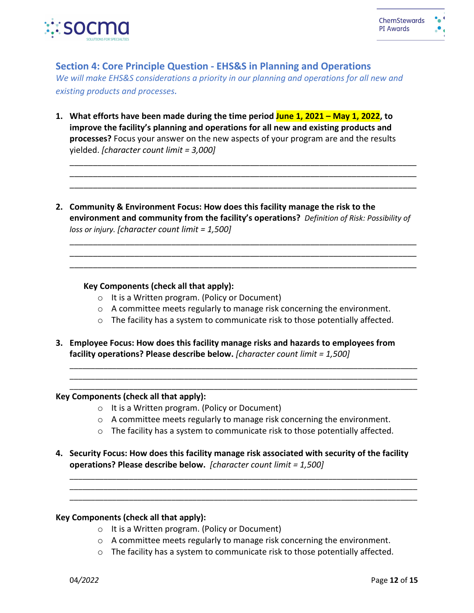

**Section 4: Core Principle Question - EHS&S in Planning and Operations**

*We will make EHS&S considerations a priority in our planning and operations for all new and existing products and processes.* 

- **1. What efforts have been made during the time period June 1, 2021 – May 1, 2022, to improve the facility's planning and operations for all new and existing products and processes?** Focus your answer on the new aspects of your program are and the results yielded. *[character count limit = 3,000]*
- **2. Community & Environment Focus: How does this facility manage the risk to the environment and community from the facility's operations?** *Definition of Risk: Possibility of loss or injury. [character count limit = 1,500]*

\_\_\_\_\_\_\_\_\_\_\_\_\_\_\_\_\_\_\_\_\_\_\_\_\_\_\_\_\_\_\_\_\_\_\_\_\_\_\_\_\_\_\_\_\_\_\_\_\_\_\_\_\_\_\_\_\_\_\_\_\_\_\_\_\_\_\_\_\_\_\_\_\_\_\_ \_\_\_\_\_\_\_\_\_\_\_\_\_\_\_\_\_\_\_\_\_\_\_\_\_\_\_\_\_\_\_\_\_\_\_\_\_\_\_\_\_\_\_\_\_\_\_\_\_\_\_\_\_\_\_\_\_\_\_\_\_\_\_\_\_\_\_\_\_\_\_\_\_\_\_ \_\_\_\_\_\_\_\_\_\_\_\_\_\_\_\_\_\_\_\_\_\_\_\_\_\_\_\_\_\_\_\_\_\_\_\_\_\_\_\_\_\_\_\_\_\_\_\_\_\_\_\_\_\_\_\_\_\_\_\_\_\_\_\_\_\_\_\_\_\_\_\_\_\_\_

\_\_\_\_\_\_\_\_\_\_\_\_\_\_\_\_\_\_\_\_\_\_\_\_\_\_\_\_\_\_\_\_\_\_\_\_\_\_\_\_\_\_\_\_\_\_\_\_\_\_\_\_\_\_\_\_\_\_\_\_\_\_\_\_\_\_\_\_\_\_\_\_\_\_\_ \_\_\_\_\_\_\_\_\_\_\_\_\_\_\_\_\_\_\_\_\_\_\_\_\_\_\_\_\_\_\_\_\_\_\_\_\_\_\_\_\_\_\_\_\_\_\_\_\_\_\_\_\_\_\_\_\_\_\_\_\_\_\_\_\_\_\_\_\_\_\_\_\_\_\_ \_\_\_\_\_\_\_\_\_\_\_\_\_\_\_\_\_\_\_\_\_\_\_\_\_\_\_\_\_\_\_\_\_\_\_\_\_\_\_\_\_\_\_\_\_\_\_\_\_\_\_\_\_\_\_\_\_\_\_\_\_\_\_\_\_\_\_\_\_\_\_\_\_\_\_

#### **Key Components (check all that apply):**

- o It is a Written program. (Policy or Document)
- $\circ$  A committee meets regularly to manage risk concerning the environment.
- $\circ$  The facility has a system to communicate risk to those potentially affected.

\_\_\_\_\_\_\_\_\_\_\_\_\_\_\_\_\_\_\_\_\_\_\_\_\_\_\_\_\_\_\_\_\_\_\_\_\_\_\_\_\_\_\_\_\_\_\_\_\_\_\_\_\_\_\_\_\_\_\_\_\_\_\_\_\_\_\_\_\_\_\_\_\_\_\_\_\_\_\_\_\_\_ \_\_\_\_\_\_\_\_\_\_\_\_\_\_\_\_\_\_\_\_\_\_\_\_\_\_\_\_\_\_\_\_\_\_\_\_\_\_\_\_\_\_\_\_\_\_\_\_\_\_\_\_\_\_\_\_\_\_\_\_\_\_\_\_\_\_\_\_\_\_\_\_\_\_\_\_\_\_\_\_\_\_ \_\_\_\_\_\_\_\_\_\_\_\_\_\_\_\_\_\_\_\_\_\_\_\_\_\_\_\_\_\_\_\_\_\_\_\_\_\_\_\_\_\_\_\_\_\_\_\_\_\_\_\_\_\_\_\_\_\_\_\_\_\_\_\_\_\_\_\_\_\_\_\_\_\_\_\_\_\_\_\_\_\_

**3. Employee Focus: How does this facility manage risks and hazards to employees from facility operations? Please describe below.** *[character count limit = 1,500]*

#### **Key Components (check all that apply):**

- o It is a Written program. (Policy or Document)
- $\circ$  A committee meets regularly to manage risk concerning the environment.
- o The facility has a system to communicate risk to those potentially affected.

\_\_\_\_\_\_\_\_\_\_\_\_\_\_\_\_\_\_\_\_\_\_\_\_\_\_\_\_\_\_\_\_\_\_\_\_\_\_\_\_\_\_\_\_\_\_\_\_\_\_\_\_\_\_\_\_\_\_\_\_\_\_\_\_\_\_\_\_\_\_\_\_\_\_\_\_\_\_\_\_\_\_ \_\_\_\_\_\_\_\_\_\_\_\_\_\_\_\_\_\_\_\_\_\_\_\_\_\_\_\_\_\_\_\_\_\_\_\_\_\_\_\_\_\_\_\_\_\_\_\_\_\_\_\_\_\_\_\_\_\_\_\_\_\_\_\_\_\_\_\_\_\_\_\_\_\_\_\_\_\_\_\_\_\_ \_\_\_\_\_\_\_\_\_\_\_\_\_\_\_\_\_\_\_\_\_\_\_\_\_\_\_\_\_\_\_\_\_\_\_\_\_\_\_\_\_\_\_\_\_\_\_\_\_\_\_\_\_\_\_\_\_\_\_\_\_\_\_\_\_\_\_\_\_\_\_\_\_\_\_\_\_\_\_\_\_\_

**4. Security Focus: How does this facility manage risk associated with security of the facility operations? Please describe below.** *[character count limit = 1,500]*

#### **Key Components (check all that apply):**

- o It is a Written program. (Policy or Document)
- o A committee meets regularly to manage risk concerning the environment.
- $\circ$  The facility has a system to communicate risk to those potentially affected.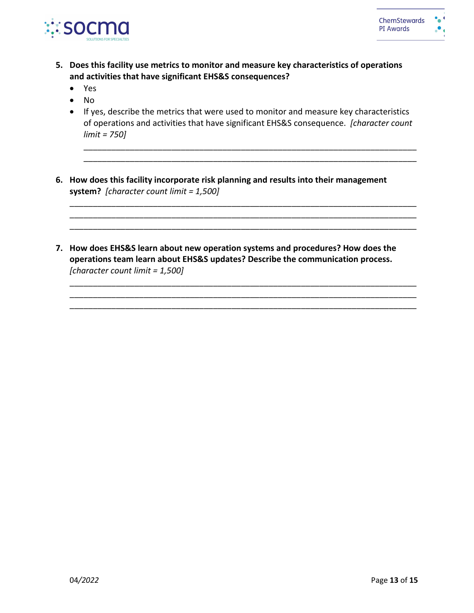

- **5. Does this facility use metrics to monitor and measure key characteristics of operations and activities that have significant EHS&S consequences?**
	- Yes
	- No
	- If yes, describe the metrics that were used to monitor and measure key characteristics of operations and activities that have significant EHS&S consequence. *[character count limit = 750]*

\_\_\_\_\_\_\_\_\_\_\_\_\_\_\_\_\_\_\_\_\_\_\_\_\_\_\_\_\_\_\_\_\_\_\_\_\_\_\_\_\_\_\_\_\_\_\_\_\_\_\_\_\_\_\_\_\_\_\_\_\_\_\_\_\_\_\_\_\_\_\_\_\_\_\_ \_\_\_\_\_\_\_\_\_\_\_\_\_\_\_\_\_\_\_\_\_\_\_\_\_\_\_\_\_\_\_\_\_\_\_\_\_\_\_\_\_\_\_\_\_\_\_\_\_\_\_\_\_\_\_\_\_\_\_\_\_\_\_\_\_\_\_\_\_\_\_\_\_\_\_ \_\_\_\_\_\_\_\_\_\_\_\_\_\_\_\_\_\_\_\_\_\_\_\_\_\_\_\_\_\_\_\_\_\_\_\_\_\_\_\_\_\_\_\_\_\_\_\_\_\_\_\_\_\_\_\_\_\_\_\_\_\_\_\_\_\_\_\_\_\_\_\_\_\_\_

\_\_\_\_\_\_\_\_\_\_\_\_\_\_\_\_\_\_\_\_\_\_\_\_\_\_\_\_\_\_\_\_\_\_\_\_\_\_\_\_\_\_\_\_\_\_\_\_\_\_\_\_\_\_\_\_\_\_\_\_\_\_\_\_\_\_\_\_\_\_\_\_\_\_\_ \_\_\_\_\_\_\_\_\_\_\_\_\_\_\_\_\_\_\_\_\_\_\_\_\_\_\_\_\_\_\_\_\_\_\_\_\_\_\_\_\_\_\_\_\_\_\_\_\_\_\_\_\_\_\_\_\_\_\_\_\_\_\_\_\_\_\_\_\_\_\_\_\_\_\_ \_\_\_\_\_\_\_\_\_\_\_\_\_\_\_\_\_\_\_\_\_\_\_\_\_\_\_\_\_\_\_\_\_\_\_\_\_\_\_\_\_\_\_\_\_\_\_\_\_\_\_\_\_\_\_\_\_\_\_\_\_\_\_\_\_\_\_\_\_\_\_\_\_\_\_

\_\_\_\_\_\_\_\_\_\_\_\_\_\_\_\_\_\_\_\_\_\_\_\_\_\_\_\_\_\_\_\_\_\_\_\_\_\_\_\_\_\_\_\_\_\_\_\_\_\_\_\_\_\_\_\_\_\_\_\_\_\_\_\_\_\_\_\_\_\_\_\_ \_\_\_\_\_\_\_\_\_\_\_\_\_\_\_\_\_\_\_\_\_\_\_\_\_\_\_\_\_\_\_\_\_\_\_\_\_\_\_\_\_\_\_\_\_\_\_\_\_\_\_\_\_\_\_\_\_\_\_\_\_\_\_\_\_\_\_\_\_\_\_\_

- **6. How does this facility incorporate risk planning and results into their management system?** *[character count limit = 1,500]*
- **7. How does EHS&S learn about new operation systems and procedures? How does the operations team learn about EHS&S updates? Describe the communication process.** *[character count limit = 1,500]*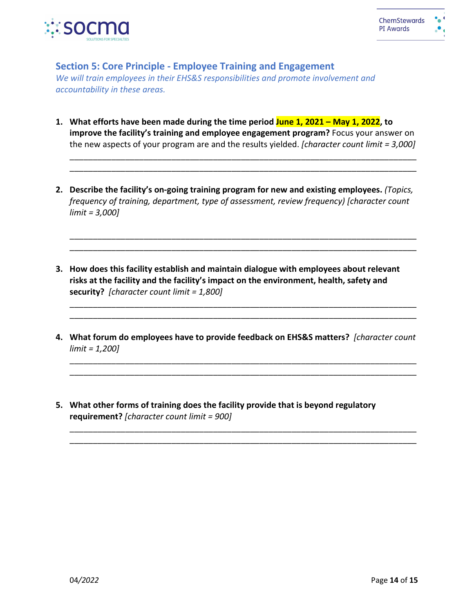

# **Section 5: Core Principle - Employee Training and Engagement**

*We will train employees in their EHS&S responsibilities and promote involvement and accountability in these areas.*

**1. What efforts have been made during the time period June 1, 2021 – May 1, 2022, to improve the facility's training and employee engagement program?** Focus your answer on the new aspects of your program are and the results yielded. *[character count limit = 3,000]*

\_\_\_\_\_\_\_\_\_\_\_\_\_\_\_\_\_\_\_\_\_\_\_\_\_\_\_\_\_\_\_\_\_\_\_\_\_\_\_\_\_\_\_\_\_\_\_\_\_\_\_\_\_\_\_\_\_\_\_\_\_\_\_\_\_\_\_\_\_\_\_\_\_\_\_ \_\_\_\_\_\_\_\_\_\_\_\_\_\_\_\_\_\_\_\_\_\_\_\_\_\_\_\_\_\_\_\_\_\_\_\_\_\_\_\_\_\_\_\_\_\_\_\_\_\_\_\_\_\_\_\_\_\_\_\_\_\_\_\_\_\_\_\_\_\_\_\_\_\_\_

**2. Describe the facility's on-going training program for new and existing employees.** *(Topics, frequency of training, department, type of assessment, review frequency) [character count limit = 3,000]*

\_\_\_\_\_\_\_\_\_\_\_\_\_\_\_\_\_\_\_\_\_\_\_\_\_\_\_\_\_\_\_\_\_\_\_\_\_\_\_\_\_\_\_\_\_\_\_\_\_\_\_\_\_\_\_\_\_\_\_\_\_\_\_\_\_\_\_\_\_\_\_\_\_\_\_ \_\_\_\_\_\_\_\_\_\_\_\_\_\_\_\_\_\_\_\_\_\_\_\_\_\_\_\_\_\_\_\_\_\_\_\_\_\_\_\_\_\_\_\_\_\_\_\_\_\_\_\_\_\_\_\_\_\_\_\_\_\_\_\_\_\_\_\_\_\_\_\_\_\_\_

\_\_\_\_\_\_\_\_\_\_\_\_\_\_\_\_\_\_\_\_\_\_\_\_\_\_\_\_\_\_\_\_\_\_\_\_\_\_\_\_\_\_\_\_\_\_\_\_\_\_\_\_\_\_\_\_\_\_\_\_\_\_\_\_\_\_\_\_\_\_\_\_\_\_\_ \_\_\_\_\_\_\_\_\_\_\_\_\_\_\_\_\_\_\_\_\_\_\_\_\_\_\_\_\_\_\_\_\_\_\_\_\_\_\_\_\_\_\_\_\_\_\_\_\_\_\_\_\_\_\_\_\_\_\_\_\_\_\_\_\_\_\_\_\_\_\_\_\_\_\_

- **3. How does this facility establish and maintain dialogue with employees about relevant risks at the facility and the facility's impact on the environment, health, safety and security?** *[character count limit = 1,800]*
- **4. What forum do employees have to provide feedback on EHS&S matters?** *[character count limit = 1,200]*

\_\_\_\_\_\_\_\_\_\_\_\_\_\_\_\_\_\_\_\_\_\_\_\_\_\_\_\_\_\_\_\_\_\_\_\_\_\_\_\_\_\_\_\_\_\_\_\_\_\_\_\_\_\_\_\_\_\_\_\_\_\_\_\_\_\_\_\_\_\_\_\_\_\_\_ \_\_\_\_\_\_\_\_\_\_\_\_\_\_\_\_\_\_\_\_\_\_\_\_\_\_\_\_\_\_\_\_\_\_\_\_\_\_\_\_\_\_\_\_\_\_\_\_\_\_\_\_\_\_\_\_\_\_\_\_\_\_\_\_\_\_\_\_\_\_\_\_\_\_\_

\_\_\_\_\_\_\_\_\_\_\_\_\_\_\_\_\_\_\_\_\_\_\_\_\_\_\_\_\_\_\_\_\_\_\_\_\_\_\_\_\_\_\_\_\_\_\_\_\_\_\_\_\_\_\_\_\_\_\_\_\_\_\_\_\_\_\_\_\_\_\_\_\_\_\_ \_\_\_\_\_\_\_\_\_\_\_\_\_\_\_\_\_\_\_\_\_\_\_\_\_\_\_\_\_\_\_\_\_\_\_\_\_\_\_\_\_\_\_\_\_\_\_\_\_\_\_\_\_\_\_\_\_\_\_\_\_\_\_\_\_\_\_\_\_\_\_\_\_\_\_

**5. What other forms of training does the facility provide that is beyond regulatory requirement?** *[character count limit = 900]*